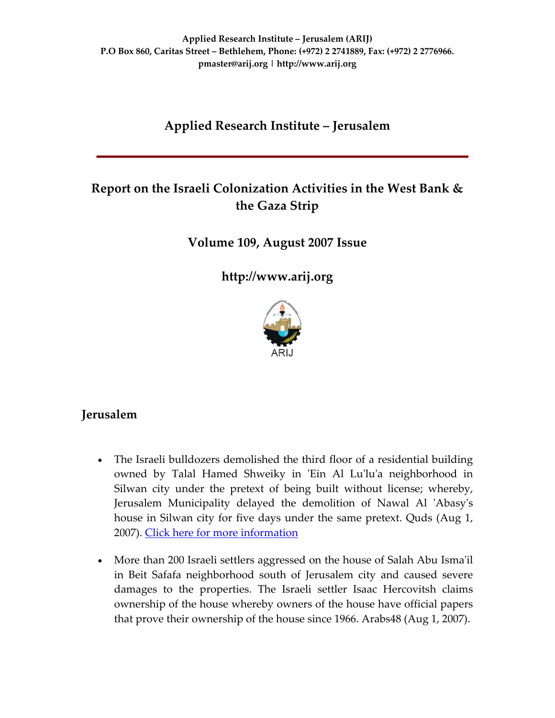# **Applied Research Institute – Jerusalem**

# **Report on the Israeli Colonization Activities in the West Bank & the Gaza Strip**

**Volume 109, August 2007 Issue**

**[http://www.arij.org](http://www.arij.org/)**



### **Jerusalem**

- The Israeli bulldozers demolished the third floor of a residential building owned by Talal Hamed Shweiky in 'Ein Al Lu'lu'a neighborhood in Silwan city under the pretext of being built without license; whereby, Jerusalem Municipality delayed the demolition of Nawal Al 'Abasy's house in Silwan city for five days under the same pretext. Quds (Aug 1, 2007). Click here for more [information](http://www.poica.org/editor/case_studies/view.php?recordID=1121)
- More than 200 Israeli settlers aggressed on the house of Salah Abu Isma'il in Beit Safafa neighborhood south of Jerusalem city and caused severe damages to the properties. The Israeli settler Isaac Hercovitsh claims ownership of the house whereby owners of the house have official papers that prove their ownership of the house since 1966. Arabs48 (Aug 1, 2007).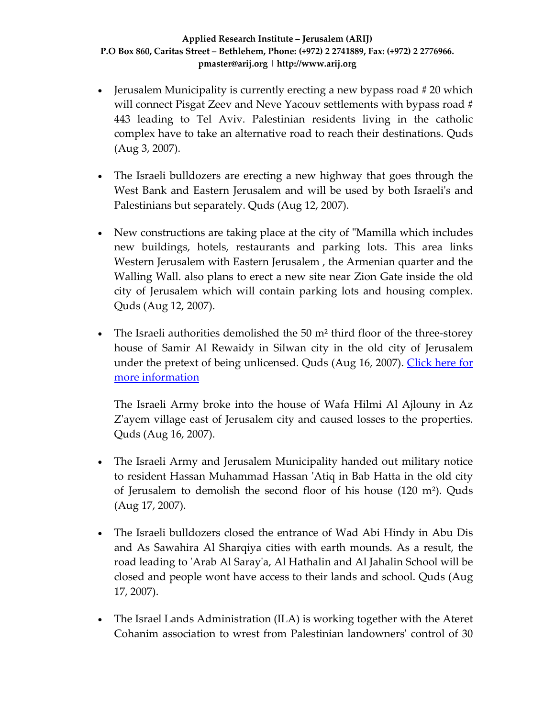- Jerusalem Municipality is currently erecting a new bypass road  $#20$  which will connect Pisgat Zeev and Neve Yacouv settlements with bypass road # 443 leading to Tel Aviv. Palestinian residents living in the catholic complex have to take an alternative road to reach their destinations. Quds (Aug 3, 2007).
- The Israeli bulldozers are erecting a new highway that goes through the West Bank and Eastern Jerusalem and will be used by both Israeliʹs and Palestinians but separately. Quds (Aug 12, 2007).
- New constructions are taking place at the city of "Mamilla which includes" new buildings, hotels, restaurants and parking lots. This area links Western Jerusalem with Eastern Jerusalem , the Armenian quarter and the Walling Wall. also plans to erect a new site near Zion Gate inside the old city of Jerusalem which will contain parking lots and housing complex. Quds (Aug 12, 2007).
- The Israeli authorities demolished the 50 m<sup>2</sup> third floor of the three-storey house of Samir Al Rewaidy in Silwan city in the old city of Jerusalem under the pretext of being unlicensed. Quds (Aug 16, 2007). [Click](http://www.poica.org/editor/case_studies/view.php?recordID=1121) here for more [information](http://www.poica.org/editor/case_studies/view.php?recordID=1121)

The Israeli Army broke into the house of Wafa Hilmi Al Ajlouny in Az Z'ayem village east of Jerusalem city and caused losses to the properties. Quds (Aug 16, 2007).

- The Israeli Army and Jerusalem Municipality handed out military notice to resident Hassan Muhammad Hassan ʹAtiq in Bab Hatta in the old city of Jerusalem to demolish the second floor of his house (120 m²). Quds (Aug 17, 2007).
- The Israeli bulldozers closed the entrance of Wad Abi Hindy in Abu Dis and As Sawahira Al Sharqiya cities with earth mounds. As a result, the road leading to 'Arab Al Saray'a, Al Hathalin and Al Jahalin School will be closed and people wont have access to their lands and school. Quds (Aug 17, 2007).
- The Israel Lands Administration (ILA) is working together with the Ateret Cohanim association to wrest from Palestinian landownersʹ control of 30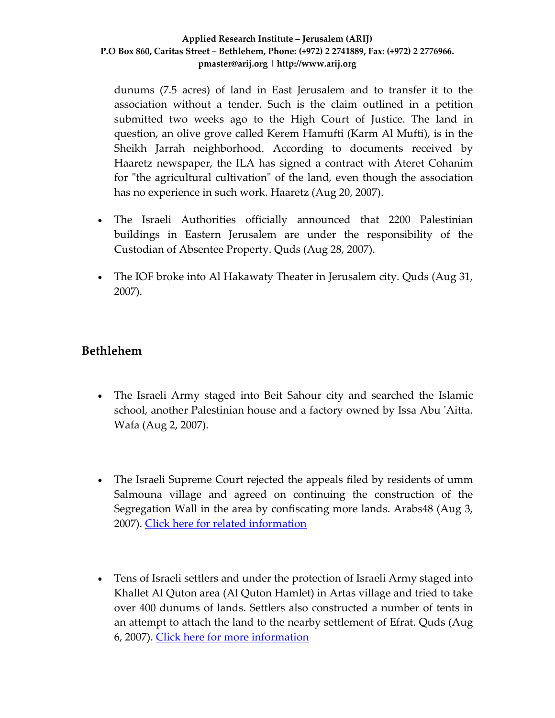dunums (7.5 acres) of land in East Jerusalem and to transfer it to the association without a tender. Such is the claim outlined in a petition submitted two weeks ago to the High Court of Justice. The land in question, an olive grove called Kerem Hamufti (Karm Al Mufti), is in the Sheikh Jarrah neighborhood. According to documents received by Haaretz newspaper, the ILA has signed a contract with Ateret Cohanim for "the agricultural cultivation" of the land, even though the association has no experience in such work. Haaretz (Aug 20, 2007).

- The Israeli Authorities officially announced that 2200 Palestinian buildings in Eastern Jerusalem are under the responsibility of the Custodian of Absentee Property. Quds (Aug 28, 2007).
- The IOF broke into Al Hakawaty Theater in Jerusalem city. Quds (Aug 31, 2007).

### **Bethlehem**

- The Israeli Army staged into Beit Sahour city and searched the Islamic school, another Palestinian house and a factory owned by Issa Abu ʹAitta. Wafa (Aug 2, 2007).
- The Israeli Supreme Court rejected the appeals filed by residents of umm Salmouna village and agreed on continuing the construction of the Segregation Wall in the area by confiscating more lands. Arabs48 (Aug 3, 2007). Click here for related [information](http://www.poica.org/editor/case_studies/view.php?recordID=1064)
- Tens of Israeli settlers and under the protection of Israeli Army staged into Khallet Al Quton area (Al Quton Hamlet) in Artas village and tried to take over 400 dunums of lands. Settlers also constructed a number of tents in an attempt to attach the land to the nearby settlement of Efrat. Quds (Aug 6, 2007). Click here for more [information](http://www.poica.org/editor/case_studies/view.php?recordID=1131)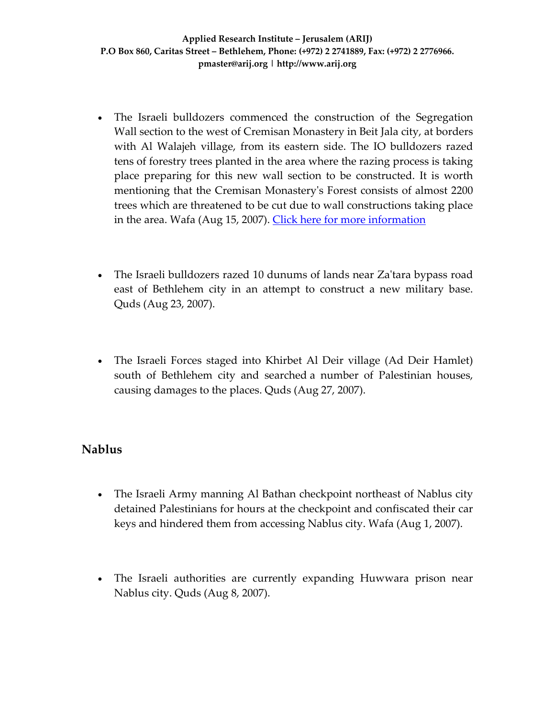- The Israeli bulldozers commenced the construction of the Segregation Wall section to the west of Cremisan Monastery in Beit Jala city, at borders with Al Walajeh village, from its eastern side. The IO bulldozers razed tens of forestry trees planted in the area where the razing process is taking place preparing for this new wall section to be constructed. It is worth mentioning that the Cremisan Monasteryʹs Forest consists of almost 2200 trees which are threatened to be cut due to wall constructions taking place in the area. Wafa (Aug 15, 2007). Click here for more [information](http://www.poica.org/editor/case_studies/view.php?recordID=1124)
- The Israeli bulldozers razed 10 dunums of lands near Za'tara bypass road east of Bethlehem city in an attempt to construct a new military base. Quds (Aug 23, 2007).
- The Israeli Forces staged into Khirbet Al Deir village (Ad Deir Hamlet) south of Bethlehem city and searched a number of Palestinian houses, causing damages to the places. Quds (Aug 27, 2007).

### **Nablus**

- The Israeli Army manning Al Bathan checkpoint northeast of Nablus city detained Palestinians for hours at the checkpoint and confiscated their car keys and hindered them from accessing Nablus city. Wafa (Aug 1, 2007).
- The Israeli authorities are currently expanding Huwwara prison near Nablus city. Quds (Aug 8, 2007).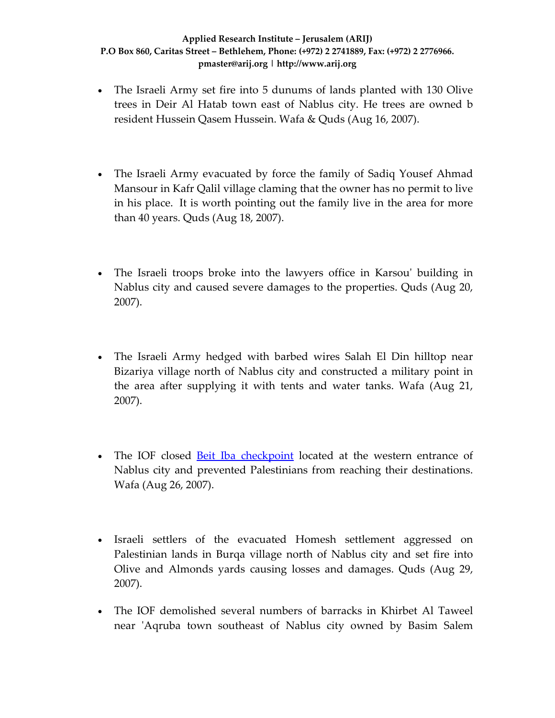- The Israeli Army set fire into 5 dunums of lands planted with 130 Olive trees in Deir Al Hatab town east of Nablus city. He trees are owned b resident Hussein Qasem Hussein. Wafa & Quds (Aug 16, 2007).
- The Israeli Army evacuated by force the family of Sadiq Yousef Ahmad Mansour in Kafr Qalil village claming that the owner has no permit to live in his place. It is worth pointing out the family live in the area for more than 40 years. Quds (Aug 18, 2007).
- The Israeli troops broke into the lawyers office in Karsou' building in Nablus city and caused severe damages to the properties. Quds (Aug 20, 2007).
- The Israeli Army hedged with barbed wires Salah El Din hilltop near Bizariya village north of Nablus city and constructed a military point in the area after supplying it with tents and water tanks. Wafa (Aug 21, 2007).
- The IOF closed Beit Iba [checkpoint](http://www.poica.org/editor/case_studies/view.php?recordID=1135) located at the western entrance of Nablus city and prevented Palestinians from reaching their destinations. Wafa (Aug 26, 2007).
- Israeli settlers of the evacuated Homesh settlement aggressed on Palestinian lands in Burqa village north of Nablus city and set fire into Olive and Almonds yards causing losses and damages. Quds (Aug 29, 2007).
- The IOF demolished several numbers of barracks in Khirbet Al Taweel near ʹAqruba town southeast of Nablus city owned by Basim Salem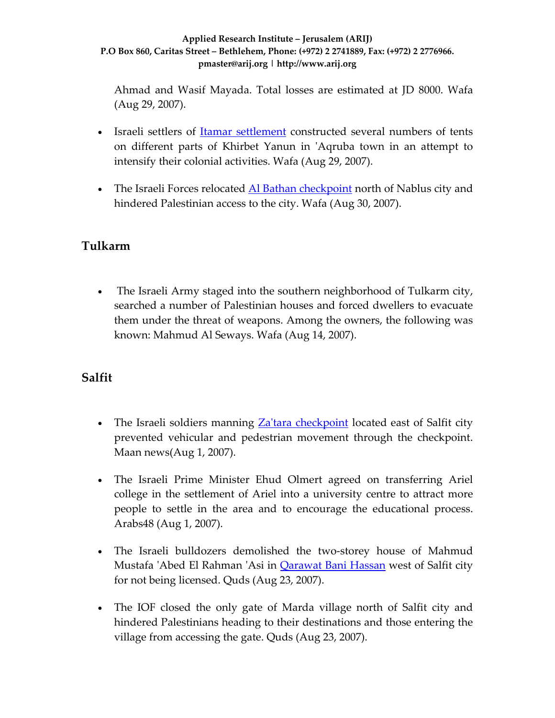Ahmad and Wasif Mayada. Total losses are estimated at JD 8000. Wafa (Aug 29, 2007).

- Israeli settlers of **Itamar [settlement](http://www.poica.org/editor/case_studies/view.php?recordID=886)** constructed several numbers of tents on different parts of Khirbet Yanun in ʹAqruba town in an attempt to intensify their colonial activities. Wafa (Aug 29, 2007).
- The Israeli Forces relocated Al Bathan [checkpoint](http://www.poica.org/editor/case_studies/view.php?recordID=1143) north of Nablus city and hindered Palestinian access to the city. Wafa (Aug 30, 2007).

# **Tulkarm**

• The Israeli Army staged into the southern neighborhood of Tulkarm city, searched a number of Palestinian houses and forced dwellers to evacuate them under the threat of weapons. Among the owners, the following was known: Mahmud Al Seways. Wafa (Aug 14, 2007).

# **Salfit**

- The Israeli soldiers manning Za'tara [checkpoint](http://www.poica.org/editor/case_studies/view.php?recordID=764) located east of Salfit city prevented vehicular and pedestrian movement through the checkpoint. Maan news(Aug 1, 2007).
- The Israeli Prime Minister Ehud Olmert agreed on transferring Ariel college in the settlement of Ariel into a university centre to attract more people to settle in the area and to encourage the educational process. Arabs48 (Aug 1, 2007).
- The Israeli bulldozers demolished the two-storey house of Mahmud Mustafa ʹAbed El Rahman ʹAsi in [Qarawat](http://www.poica.org/editor/case_studies/view.php?recordID=1126) Bani Hassan west of Salfit city for not being licensed. Quds (Aug 23, 2007).
- The IOF closed the only gate of Marda village north of Salfit city and hindered Palestinians heading to their destinations and those entering the village from accessing the gate. Quds (Aug 23, 2007).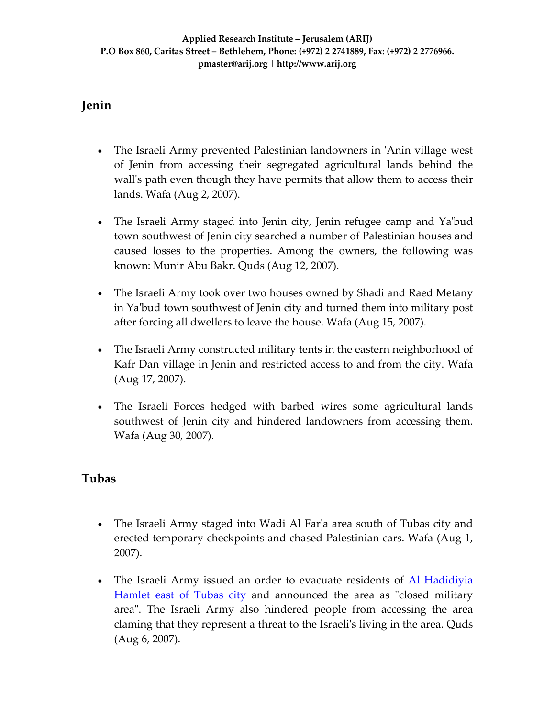# **Jenin**

- The Israeli Army prevented Palestinian landowners in 'Anin village west of Jenin from accessing their segregated agricultural lands behind the wall's path even though they have permits that allow them to access their lands. Wafa (Aug 2, 2007).
- The Israeli Army staged into Jenin city, Jenin refugee camp and Ya'bud town southwest of Jenin city searched a number of Palestinian houses and caused losses to the properties. Among the owners, the following was known: Munir Abu Bakr. Quds (Aug 12, 2007).
- The Israeli Army took over two houses owned by Shadi and Raed Metany in Yaʹbud town southwest of Jenin city and turned them into military post after forcing all dwellers to leave the house. Wafa (Aug 15, 2007).
- The Israeli Army constructed military tents in the eastern neighborhood of Kafr Dan village in Jenin and restricted access to and from the city. Wafa (Aug 17, 2007).
- The Israeli Forces hedged with barbed wires some agricultural lands southwest of Jenin city and hindered landowners from accessing them. Wafa (Aug 30, 2007).

# **Tubas**

- The Israeli Army staged into Wadi Al Far'a area south of Tubas city and erected temporary checkpoints and chased Palestinian cars. Wafa (Aug 1, 2007).
- The Israeli Army issued an order to evacuate residents of <u>Al [Hadidiyia](http://www.poica.org/editor/case_studies/view.php?recordID=1123)</u> [Hamlet](http://www.poica.org/editor/case_studies/view.php?recordID=1123) east of Tubas city and announced the area as "closed military" areaʺ. The Israeli Army also hindered people from accessing the area claming that they represent a threat to the Israeliʹs living in the area. Quds (Aug 6, 2007).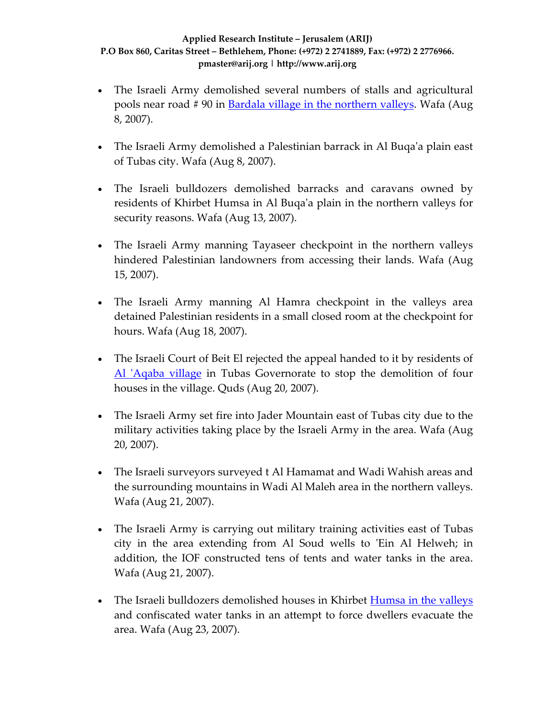- The Israeli Army demolished several numbers of stalls and agricultural pools near road # 90 in Bardala village in the [northern](http://www.poica.org/editor/case_studies/view.php?recordID=1068) valleys. Wafa (Aug 8, 2007).
- The Israeli Army demolished a Palestinian barrack in Al Buqa'a plain east of Tubas city. Wafa (Aug 8, 2007).
- The Israeli bulldozers demolished barracks and caravans owned by residents of Khirbet Humsa in Al Buqaʹa plain in the northern valleys for security reasons. Wafa (Aug 13, 2007).
- The Israeli Army manning Tayaseer checkpoint in the northern valleys hindered Palestinian landowners from accessing their lands. Wafa (Aug 15, 2007).
- The Israeli Army manning Al Hamra checkpoint in the valleys area detained Palestinian residents in a small closed room at the checkpoint for hours. Wafa (Aug 18, 2007).
- The Israeli Court of Beit El rejected the appeal handed to it by residents of Al 'Agaba [village](http://www.poica.org/editor/case_studies/view.php?recordID=825) in Tubas Governorate to stop the demolition of four houses in the village. Quds (Aug 20, 2007).
- The Israeli Army set fire into Jader Mountain east of Tubas city due to the military activities taking place by the Israeli Army in the area. Wafa (Aug 20, 2007).
- The Israeli surveyors surveyed t Al Hamamat and Wadi Wahish areas and the surrounding mountains in Wadi Al Maleh area in the northern valleys. Wafa (Aug 21, 2007).
- The Israeli Army is carrying out military training activities east of Tubas city in the area extending from Al Soud wells to 'Ein Al Helweh; in addition, the IOF constructed tens of tents and water tanks in the area. Wafa (Aug 21, 2007).
- The Israeli bulldozers demolished houses in Khirbet [Humsa](http://www.poica.org/editor/case_studies/view.php?recordID=1123) in the valleys and confiscated water tanks in an attempt to force dwellers evacuate the area. Wafa (Aug 23, 2007).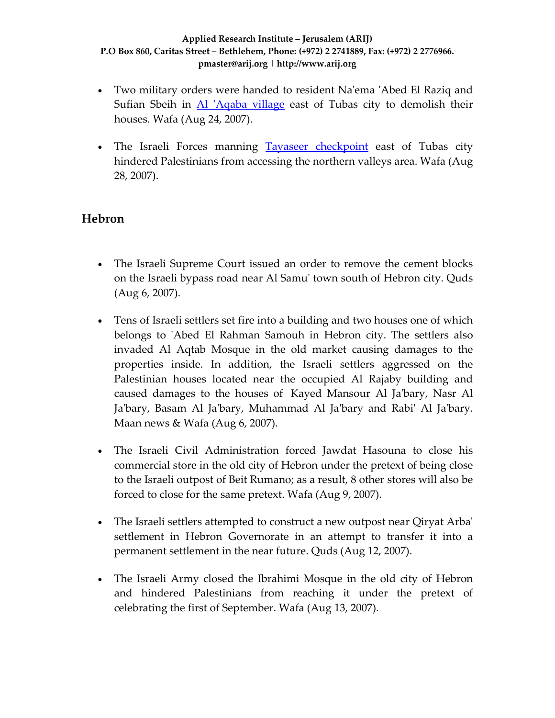- Two military orders were handed to resident Na'ema 'Abed El Raziq and Sufian Sbeih in *Al 'Aqaba [village](http://www.poica.org/editor/case_studies/view.php?recordID=1071)* east of Tubas city to demolish their houses. Wafa (Aug 24, 2007).
- The Israeli Forces manning Tayaseer [checkpoint](http://www.poica.org/editor/case_studies/view.php?recordID=1001) east of Tubas city hindered Palestinians from accessing the northern valleys area. Wafa (Aug 28, 2007).

### **Hebron**

- The Israeli Supreme Court issued an order to remove the cement blocks on the Israeli bypass road near Al Samuʹ town south of Hebron city. Quds (Aug 6, 2007).
- Tens of Israeli settlers set fire into a building and two houses one of which belongs to 'Abed El Rahman Samouh in Hebron city. The settlers also invaded Al Aqtab Mosque in the old market causing damages to the properties inside. In addition, the Israeli settlers aggressed on the Palestinian houses located near the occupied Al Rajaby building and caused damages to the houses of Kayed Mansour Al Jaʹbary, Nasr Al Jaʹbary, Basam Al Jaʹbary, Muhammad Al Jaʹbary and Rabiʹ Al Jaʹbary. Maan news & Wafa (Aug 6, 2007).
- The Israeli Civil Administration forced Jawdat Hasouna to close his commercial store in the old city of Hebron under the pretext of being close to the Israeli outpost of Beit Rumano; as a result, 8 other stores will also be forced to close for the same pretext. Wafa (Aug 9, 2007).
- The Israeli settlers attempted to construct a new outpost near Qiryat Arba' settlement in Hebron Governorate in an attempt to transfer it into a permanent settlement in the near future. Quds (Aug 12, 2007).
- The Israeli Army closed the Ibrahimi Mosque in the old city of Hebron and hindered Palestinians from reaching it under the pretext of celebrating the first of September. Wafa (Aug 13, 2007).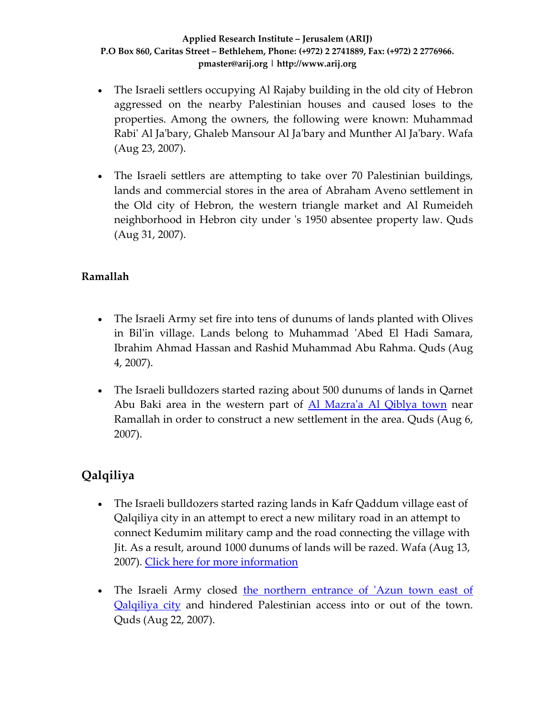- The Israeli settlers occupying Al Rajaby building in the old city of Hebron aggressed on the nearby Palestinian houses and caused loses to the properties. Among the owners, the following were known: Muhammad Rabiʹ Al Jaʹbary, Ghaleb Mansour Al Jaʹbary and Munther Al Jaʹbary. Wafa (Aug 23, 2007).
- The Israeli settlers are attempting to take over 70 Palestinian buildings, lands and commercial stores in the area of Abraham Aveno settlement in the Old city of Hebron, the western triangle market and Al Rumeideh neighborhood in Hebron city under 's 1950 absentee property law. Quds (Aug 31, 2007).

### **Ramallah**

- The Israeli Army set fire into tens of dunums of lands planted with Olives in Bil'in village. Lands belong to Muhammad 'Abed El Hadi Samara, Ibrahim Ahmad Hassan and Rashid Muhammad Abu Rahma. Quds (Aug 4, 2007).
- The Israeli bulldozers started razing about 500 dunums of lands in Qarnet Abu Baki area in the western part of Al Mazra'a Al [Qiblya](http://www.poica.org/editor/case_studies/view.php?recordID=1134) town near Ramallah in order to construct a new settlement in the area. Quds (Aug 6, 2007).

# **Qalqiliya**

- The Israeli bulldozers started razing lands in Kafr Qaddum village east of Qalqiliya city in an attempt to erect a new military road in an attempt to connect Kedumim military camp and the road connecting the village with Jit. As a result, around 1000 dunums of lands will be razed. Wafa (Aug 13, 2007). Click here for more [information](http://www.poica.org/editor/case_studies/view.php?recordID=1067)
- The Israeli Army closed the [northern](http://www.poica.org/editor/case_studies/view.php?recordID=1139) entrance of 'Azun town east of [Qalqiliya](http://www.poica.org/editor/case_studies/view.php?recordID=1139) city and hindered Palestinian access into or out of the town. Quds (Aug 22, 2007).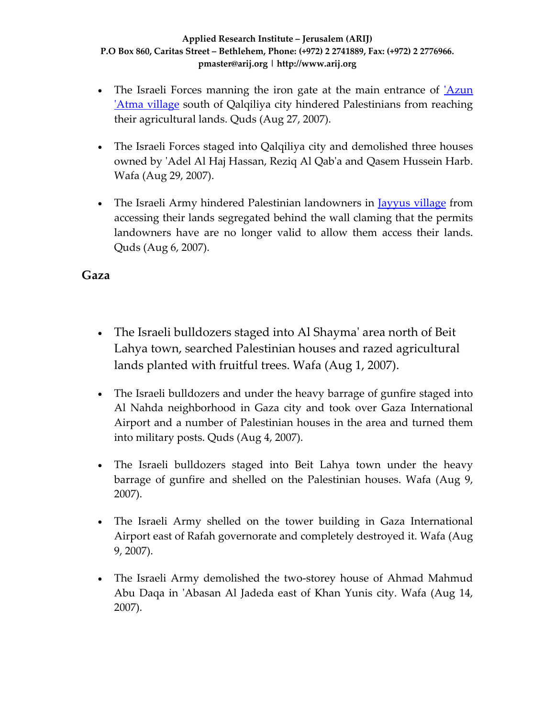- The Israeli Forces manning the iron gate at the main entrance of '[Azun](http://www.poica.org/editor/case_studies/view.php?recordID=915) ʹAtma [village](http://www.poica.org/editor/case_studies/view.php?recordID=915) south of Qalqiliya city hindered Palestinians from reaching their agricultural lands. Quds (Aug 27, 2007).
- The Israeli Forces staged into Qalqiliya city and demolished three houses owned by ʹAdel Al Haj Hassan, Reziq Al Qabʹa and Qasem Hussein Harb. Wafa (Aug 29, 2007).
- The Israeli Army hindered Palestinian landowners in <u>[Jayyus](http://www.poica.org/editor/case_studies/view.php?recordID=1061) village</u> from accessing their lands segregated behind the wall claming that the permits landowners have are no longer valid to allow them access their lands. Quds (Aug 6, 2007).

### **Gaza**

- The Israeli bulldozers staged into Al Shayma' area north of Beit Lahya town, searched Palestinian houses and razed agricultural lands planted with fruitful trees. Wafa (Aug 1, 2007).
- The Israeli bulldozers and under the heavy barrage of gunfire staged into Al Nahda neighborhood in Gaza city and took over Gaza International Airport and a number of Palestinian houses in the area and turned them into military posts. Quds (Aug 4, 2007).
- The Israeli bulldozers staged into Beit Lahya town under the heavy barrage of gunfire and shelled on the Palestinian houses. Wafa (Aug 9, 2007).
- The Israeli Army shelled on the tower building in Gaza International Airport east of Rafah governorate and completely destroyed it. Wafa (Aug 9, 2007).
- The Israeli Army demolished the two-storey house of Ahmad Mahmud Abu Daqa in 'Abasan Al Jadeda east of Khan Yunis city. Wafa (Aug 14, 2007).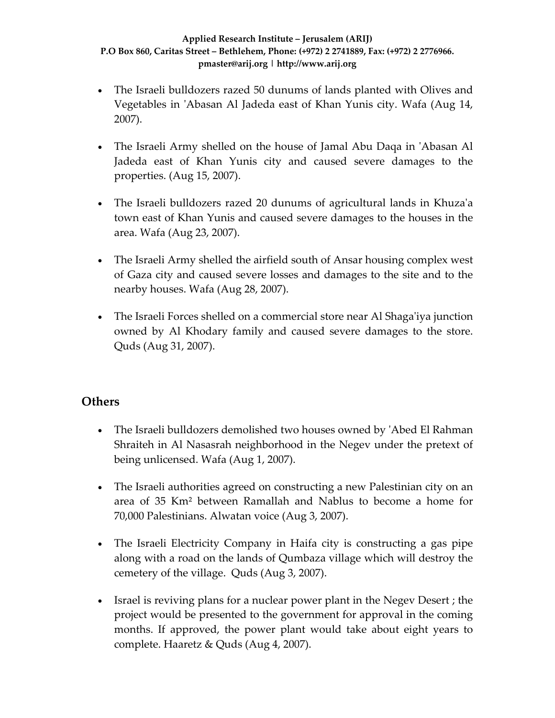- The Israeli bulldozers razed 50 dunums of lands planted with Olives and Vegetables in 'Abasan Al Jadeda east of Khan Yunis city. Wafa (Aug 14, 2007).
- The Israeli Army shelled on the house of Jamal Abu Daqa in 'Abasan Al Jadeda east of Khan Yunis city and caused severe damages to the properties. (Aug 15, 2007).
- The Israeli bulldozers razed 20 dunums of agricultural lands in Khuza'a town east of Khan Yunis and caused severe damages to the houses in the area. Wafa (Aug 23, 2007).
- The Israeli Army shelled the airfield south of Ansar housing complex west of Gaza city and caused severe losses and damages to the site and to the nearby houses. Wafa (Aug 28, 2007).
- The Israeli Forces shelled on a commercial store near Al Shaga'iya junction owned by Al Khodary family and caused severe damages to the store. Quds (Aug 31, 2007).

# **Others**

- The Israeli bulldozers demolished two houses owned by 'Abed El Rahman Shraiteh in Al Nasasrah neighborhood in the Negev under the pretext of being unlicensed. Wafa (Aug 1, 2007).
- The Israeli authorities agreed on constructing a new Palestinian city on an area of 35 Km² between Ramallah and Nablus to become a home for 70,000 Palestinians. Alwatan voice (Aug 3, 2007).
- The Israeli Electricity Company in Haifa city is constructing a gas pipe along with a road on the lands of Qumbaza village which will destroy the cemetery of the village. Quds (Aug 3, 2007).
- Israel is reviving plans for a nuclear power plant in the Negev Desert ; the project would be presented to the government for approval in the coming months. If approved, the power plant would take about eight years to complete. Haaretz & Quds (Aug 4, 2007).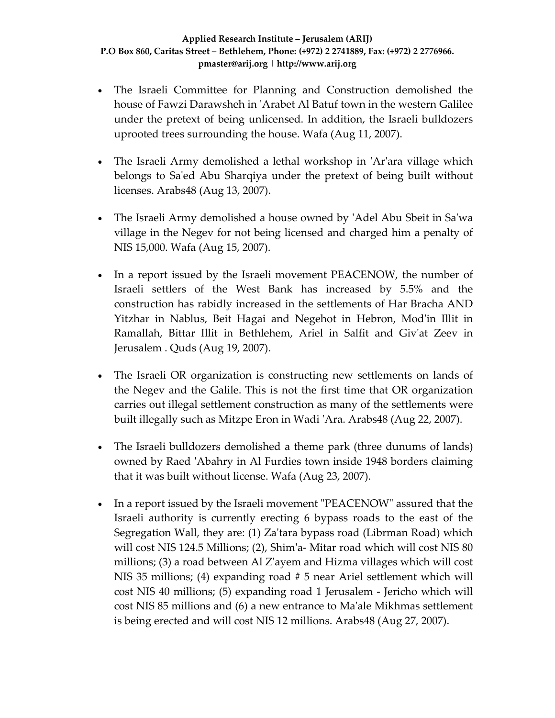- The Israeli Committee for Planning and Construction demolished the house of Fawzi Darawsheh in ʹArabet Al Batuf town in the western Galilee under the pretext of being unlicensed. In addition, the Israeli bulldozers uprooted trees surrounding the house. Wafa (Aug 11, 2007).
- The Israeli Army demolished a lethal workshop in 'Ar'ara village which belongs to Sa'ed Abu Sharqiya under the pretext of being built without licenses. Arabs48 (Aug 13, 2007).
- The Israeli Army demolished a house owned by 'Adel Abu Sbeit in Sa'wa village in the Negev for not being licensed and charged him a penalty of NIS 15,000. Wafa (Aug 15, 2007).
- In a report issued by the Israeli movement PEACENOW, the number of Israeli settlers of the West Bank has increased by 5.5% and the construction has rabidly increased in the settlements of Har Bracha AND Yitzhar in Nablus, Beit Hagai and Negehot in Hebron, Mod'in Illit in Ramallah, Bittar Illit in Bethlehem, Ariel in Salfit and Givʹat Zeev in Jerusalem . Quds (Aug 19, 2007).
- The Israeli OR organization is constructing new settlements on lands of the Negev and the Galile. This is not the first time that OR organization carries out illegal settlement construction as many of the settlements were built illegally such as Mitzpe Eron in Wadi ʹAra. Arabs48 (Aug 22, 2007).
- The Israeli bulldozers demolished a theme park (three dunums of lands) owned by Raed ʹAbahry in Al Furdies town inside 1948 borders claiming that it was built without license. Wafa (Aug 23, 2007).
- In a report issued by the Israeli movement "PEACENOW" assured that the Israeli authority is currently erecting 6 bypass roads to the east of the Segregation Wall, they are: (1) Zaʹtara bypass road (Librman Road) which will cost NIS 124.5 Millions; (2), Shim'a- Mitar road which will cost NIS 80 millions; (3) a road between Al Zʹayem and Hizma villages which will cost NIS 35 millions; (4) expanding road # 5 near Ariel settlement which will cost NIS 40 millions; (5) expanding road 1 Jerusalem ‐ Jericho which will cost NIS 85 millions and (6) a new entrance to Maʹale Mikhmas settlement is being erected and will cost NIS 12 millions. Arabs48 (Aug 27, 2007).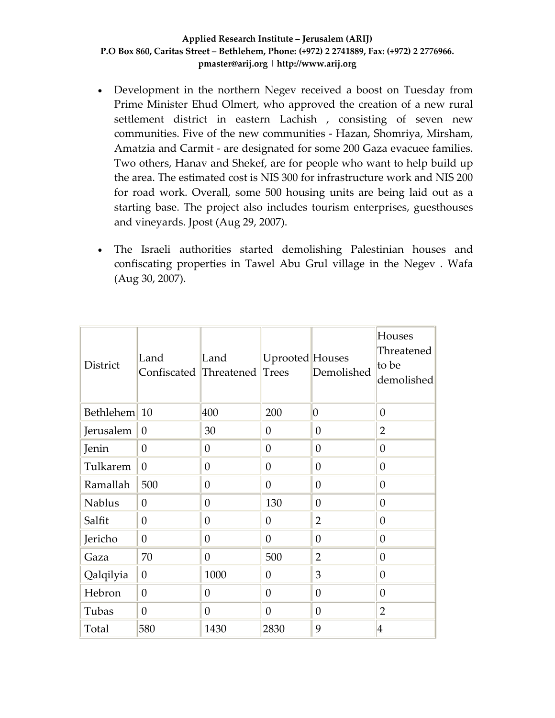- Development in the northern Negev received a boost on Tuesday from Prime Minister Ehud Olmert, who approved the creation of a new rural settlement district in eastern Lachish , consisting of seven new communities. Five of the new communities ‐ Hazan, Shomriya, Mirsham, Amatzia and Carmit ‐ are designated for some 200 Gaza evacuee families. Two others, Hanav and Shekef, are for people who want to help build up the area. The estimated cost is NIS 300 for infrastructure work and NIS 200 for road work. Overall, some 500 housing units are being laid out as a starting base. The project also includes tourism enterprises, guesthouses and vineyards. Jpost (Aug 29, 2007).
- The Israeli authorities started demolishing Palestinian houses and confiscating properties in Tawel Abu Grul village in the Negev . Wafa (Aug 30, 2007).

| District      | Land<br>Confiscated Threatened | Land             | Uprooted Houses<br>Trees | Demolished       | Houses<br>Threatened<br>to be<br>demolished |
|---------------|--------------------------------|------------------|--------------------------|------------------|---------------------------------------------|
| Bethlehem     | 10                             | 400              | 200                      | $ 0\rangle$      | $\boldsymbol{0}$                            |
| Jerusalem     | $\theta$                       | 30               | $\theta$                 | $\overline{0}$   | $\overline{2}$                              |
| Jenin         | $\boldsymbol{0}$               | $\theta$         | 0                        | $\theta$         | $\boldsymbol{0}$                            |
| Tulkarem      | $\theta$                       | $\theta$         | $\theta$                 | $\boldsymbol{0}$ | $\theta$                                    |
| Ramallah      | 500                            | $\theta$         | $\theta$                 | $\overline{0}$   | $\overline{0}$                              |
| <b>Nablus</b> | $\theta$                       | $\theta$         | 130                      | $\boldsymbol{0}$ | $\boldsymbol{0}$                            |
| Salfit        | $\theta$                       | $\theta$         | $\theta$                 | $\overline{2}$   | $\overline{0}$                              |
| Jericho       | $\theta$                       | $\theta$         | $\theta$                 | $\theta$         | $\theta$                                    |
| Gaza          | 70                             | $\theta$         | 500                      | $\overline{2}$   | $\theta$                                    |
| Qalqilyia     | $\boldsymbol{0}$               | 1000             | $\theta$                 | 3                | $\theta$                                    |
| Hebron        | $\overline{0}$                 | $\theta$         | 0                        | $\boldsymbol{0}$ | $\theta$                                    |
| Tubas         | $\overline{0}$                 | $\boldsymbol{0}$ | $\overline{0}$           | $\overline{0}$   | $\overline{2}$                              |
| Total         | 580                            | 1430             | 2830                     | 9                | $\overline{4}$                              |